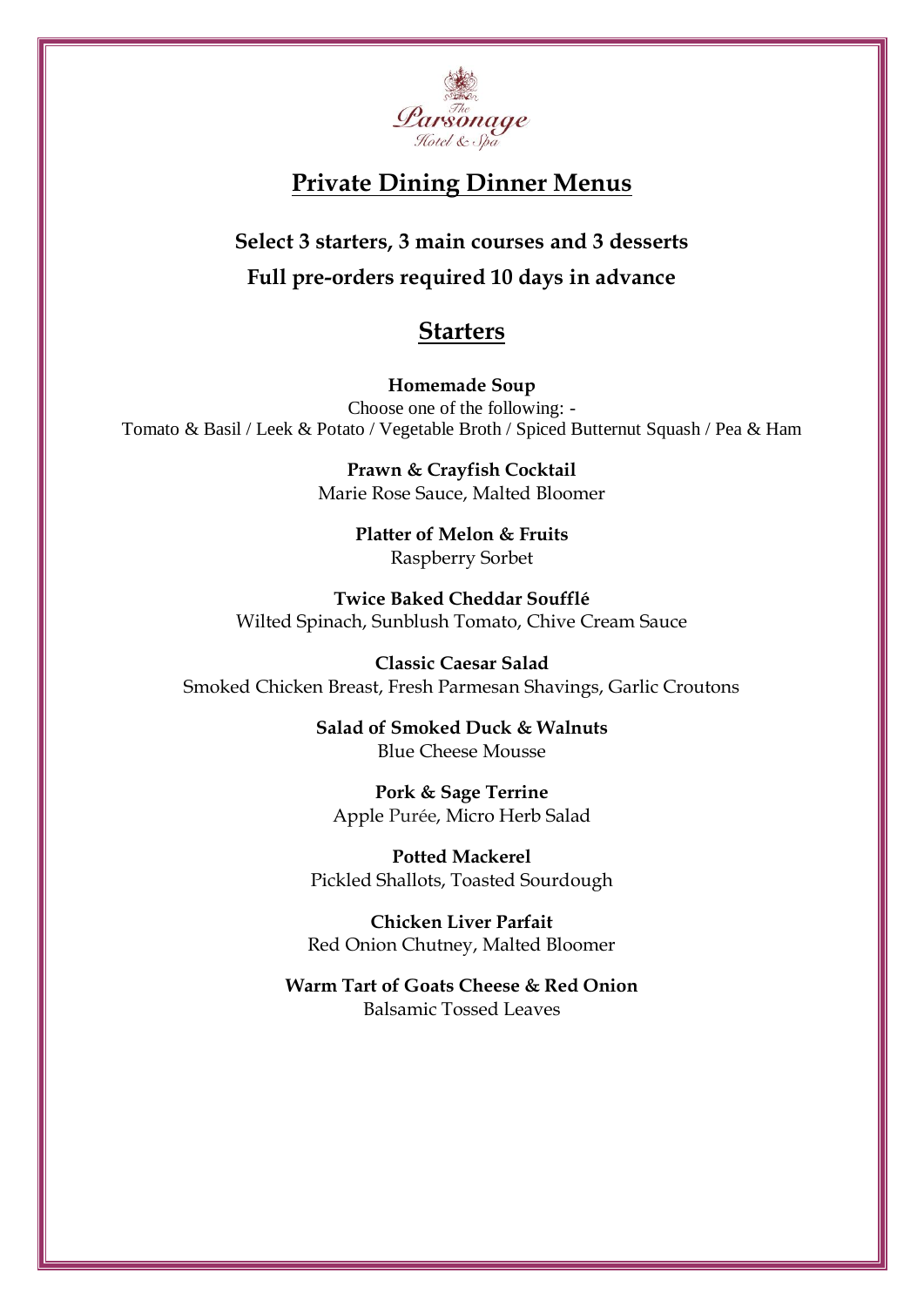

## **Private Dining Dinner Menus**

**Select 3 starters, 3 main courses and 3 desserts Full pre-orders required 10 days in advance**

## **Starters**

**Homemade Soup** Choose one of the following: - Tomato & Basil / Leek & Potato / Vegetable Broth / Spiced Butternut Squash / Pea & Ham

> **Prawn & Crayfish Cocktail** Marie Rose Sauce, Malted Bloomer

> > **Platter of Melon & Fruits** Raspberry Sorbet

**Twice Baked Cheddar Soufflé** Wilted Spinach, Sunblush Tomato, Chive Cream Sauce

**Classic Caesar Salad** Smoked Chicken Breast, Fresh Parmesan Shavings, Garlic Croutons

> **Salad of Smoked Duck & Walnuts** Blue Cheese Mousse

**Pork & Sage Terrine** Apple Purée, Micro Herb Salad

**Potted Mackerel**  Pickled Shallots, Toasted Sourdough

**Chicken Liver Parfait** Red Onion Chutney, Malted Bloomer

**Warm Tart of Goats Cheese & Red Onion** Balsamic Tossed Leaves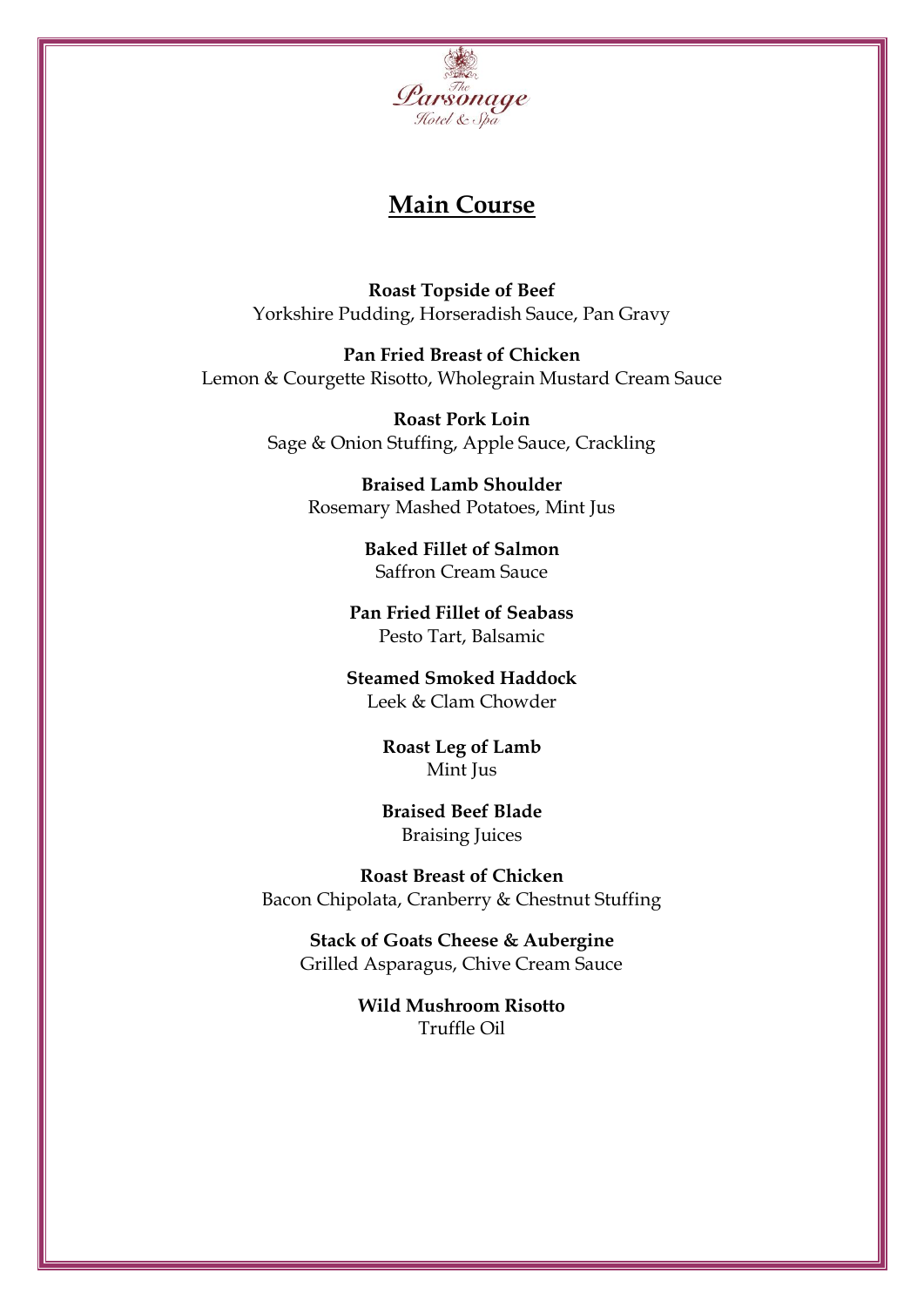

## **Main Course**

**Roast Topside of Beef** Yorkshire Pudding, Horseradish Sauce, Pan Gravy

**Pan Fried Breast of Chicken** Lemon & Courgette Risotto, Wholegrain Mustard Cream Sauce

> **Roast Pork Loin** Sage & Onion Stuffing, Apple Sauce, Crackling

> > **Braised Lamb Shoulder** Rosemary Mashed Potatoes, Mint Jus

> > > **Baked Fillet of Salmon** Saffron Cream Sauce

**Pan Fried Fillet of Seabass** Pesto Tart, Balsamic

**Steamed Smoked Haddock** Leek & Clam Chowder

> **Roast Leg of Lamb** Mint Jus

**Braised Beef Blade** Braising Juices

**Roast Breast of Chicken** Bacon Chipolata, Cranberry & Chestnut Stuffing

**Stack of Goats Cheese & Aubergine** Grilled Asparagus, Chive Cream Sauce

> **Wild Mushroom Risotto** Truffle Oil